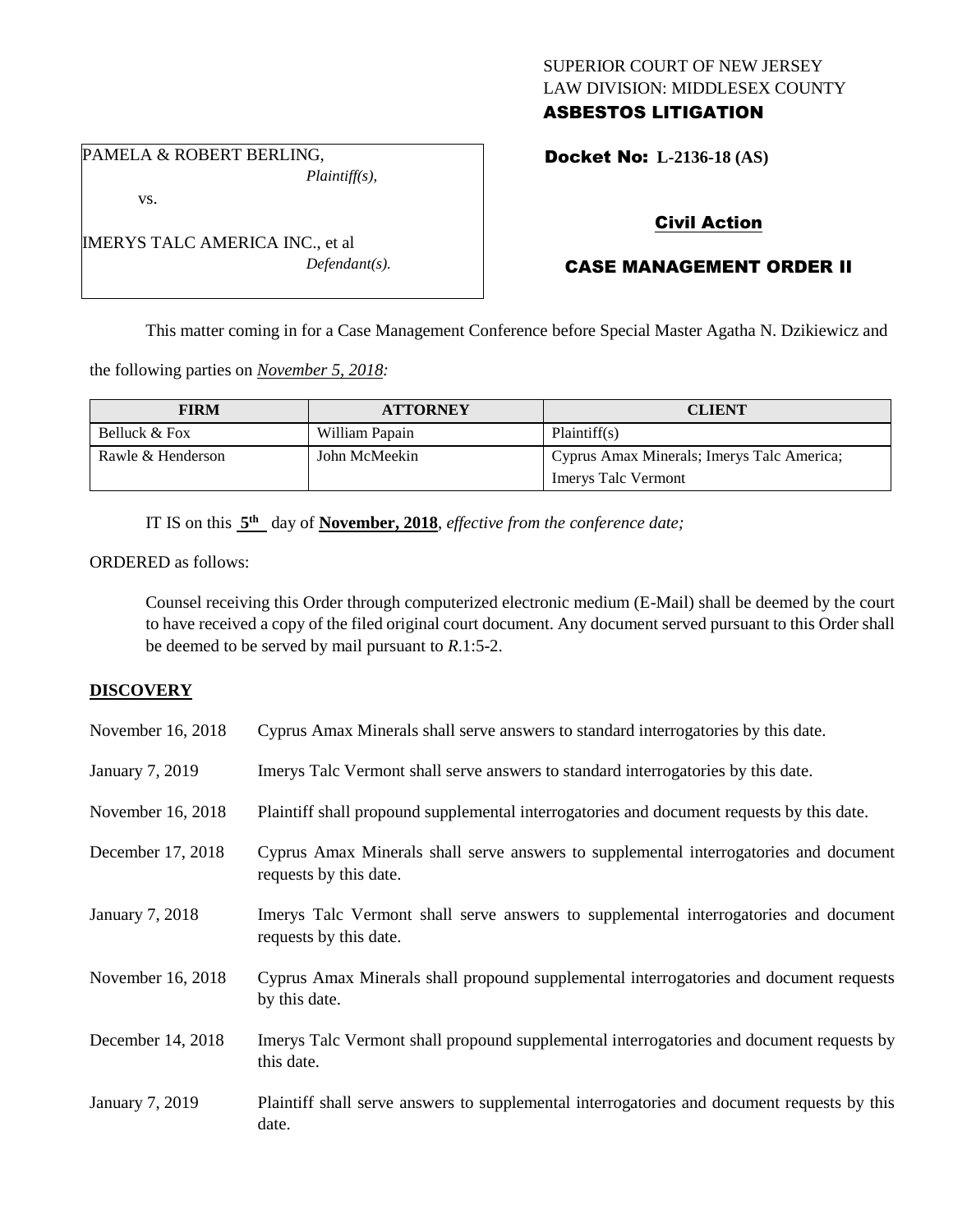# SUPERIOR COURT OF NEW JERSEY LAW DIVISION: MIDDLESEX COUNTY ASBESTOS LITIGATION

PAMELA & ROBERT BERLING, *Plaintiff(s),*

vs.

Docket No: **L-2136-18 (AS)** 

# Civil Action

# CASE MANAGEMENT ORDER II

This matter coming in for a Case Management Conference before Special Master Agatha N. Dzikiewicz and

the following parties on *November 5, 2018:*

| <b>FIRM</b>       | <b>ATTORNEY</b> | <b>CLIENT</b>                              |
|-------------------|-----------------|--------------------------------------------|
| Belluck & Fox     | William Papain  | Plaintiff(s)                               |
| Rawle & Henderson | John McMeekin   | Cyprus Amax Minerals; Imerys Talc America; |
|                   |                 | <b>Imerys Talc Vermont</b>                 |

IT IS on this  $5<sup>th</sup>$  day of **November, 2018**, *effective from the conference date*;

ORDERED as follows:

Counsel receiving this Order through computerized electronic medium (E-Mail) shall be deemed by the court to have received a copy of the filed original court document. Any document served pursuant to this Order shall be deemed to be served by mail pursuant to *R*.1:5-2.

## **DISCOVERY**

| November 16, 2018 | Cyprus Amax Minerals shall serve answers to standard interrogatories by this date.                              |
|-------------------|-----------------------------------------------------------------------------------------------------------------|
| January 7, 2019   | Imerys Talc Vermont shall serve answers to standard interrogatories by this date.                               |
| November 16, 2018 | Plaintiff shall propound supplemental interrogatories and document requests by this date.                       |
| December 17, 2018 | Cyprus Amax Minerals shall serve answers to supplemental interrogatories and document<br>requests by this date. |
| January 7, 2018   | Imerys Talc Vermont shall serve answers to supplemental interrogatories and document<br>requests by this date.  |
| November 16, 2018 | Cyprus Amax Minerals shall propound supplemental interrogatories and document requests<br>by this date.         |
| December 14, 2018 | Imerys Talc Vermont shall propound supplemental interrogatories and document requests by<br>this date.          |
| January 7, 2019   | Plaintiff shall serve answers to supplemental interrogatories and document requests by this<br>date.            |

IMERYS TALC AMERICA INC., et al *Defendant(s).*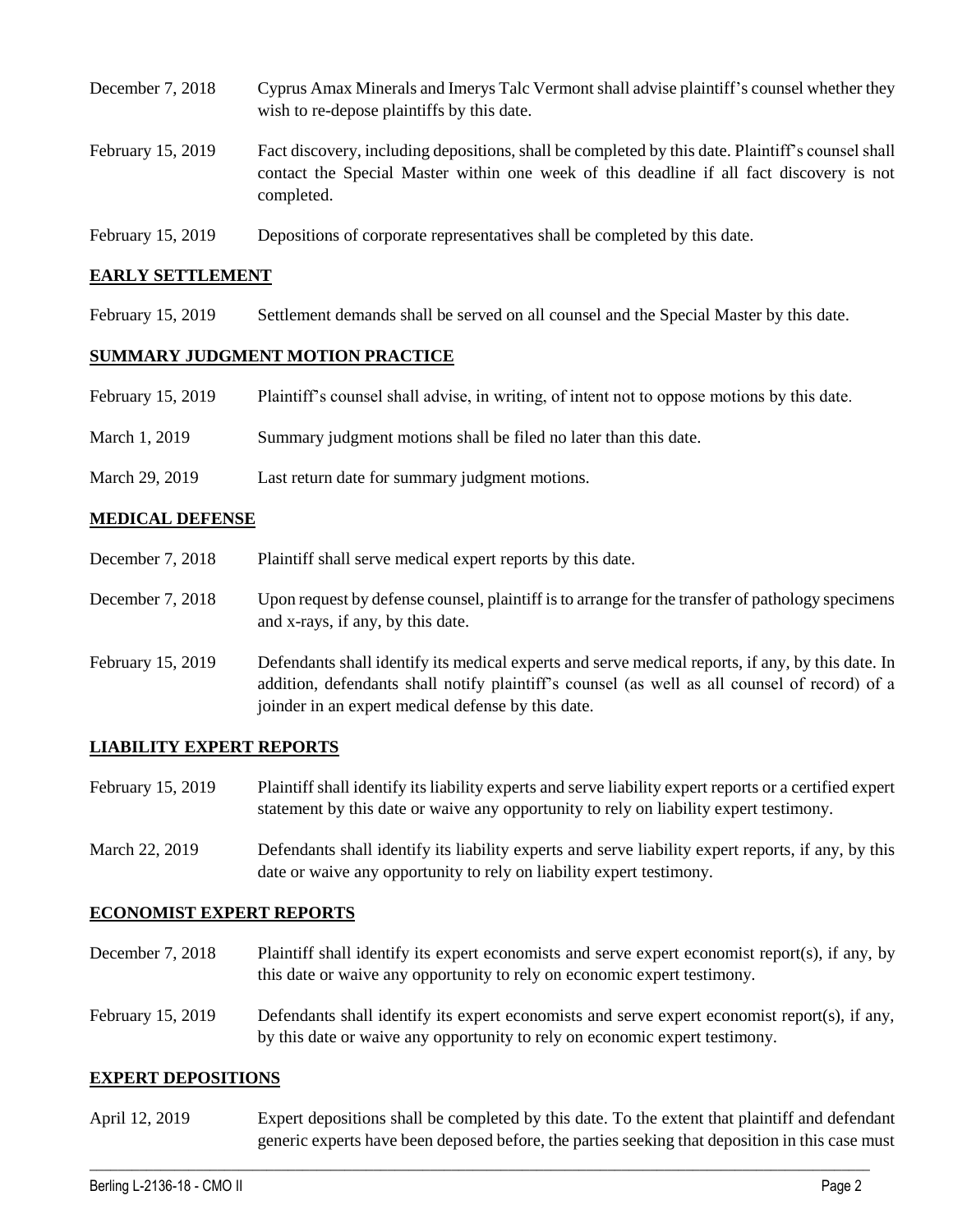- December 7, 2018 Cyprus Amax Minerals and Imerys Talc Vermont shall advise plaintiff's counsel whether they wish to re-depose plaintiffs by this date. February 15, 2019 Fact discovery, including depositions, shall be completed by this date. Plaintiff's counsel shall contact the Special Master within one week of this deadline if all fact discovery is not completed.
- February 15, 2019 Depositions of corporate representatives shall be completed by this date.

### **EARLY SETTLEMENT**

February 15, 2019 Settlement demands shall be served on all counsel and the Special Master by this date.

## **SUMMARY JUDGMENT MOTION PRACTICE**

- February 15, 2019 Plaintiff's counsel shall advise, in writing, of intent not to oppose motions by this date.
- March 1, 2019 Summary judgment motions shall be filed no later than this date.
- March 29, 2019 Last return date for summary judgment motions.

### **MEDICAL DEFENSE**

- December 7, 2018 Plaintiff shall serve medical expert reports by this date.
- December 7, 2018 Upon request by defense counsel, plaintiff is to arrange for the transfer of pathology specimens and x-rays, if any, by this date.
- February 15, 2019 Defendants shall identify its medical experts and serve medical reports, if any, by this date. In addition, defendants shall notify plaintiff's counsel (as well as all counsel of record) of a joinder in an expert medical defense by this date.

#### **LIABILITY EXPERT REPORTS**

- February 15, 2019 Plaintiff shall identify its liability experts and serve liability expert reports or a certified expert statement by this date or waive any opportunity to rely on liability expert testimony.
- March 22, 2019 Defendants shall identify its liability experts and serve liability expert reports, if any, by this date or waive any opportunity to rely on liability expert testimony.

#### **ECONOMIST EXPERT REPORTS**

- December 7, 2018 Plaintiff shall identify its expert economists and serve expert economist report(s), if any, by this date or waive any opportunity to rely on economic expert testimony.
- February 15, 2019 Defendants shall identify its expert economists and serve expert economist report(s), if any, by this date or waive any opportunity to rely on economic expert testimony.

#### **EXPERT DEPOSITIONS**

April 12, 2019 Expert depositions shall be completed by this date. To the extent that plaintiff and defendant generic experts have been deposed before, the parties seeking that deposition in this case must

 $\_$  ,  $\_$  ,  $\_$  ,  $\_$  ,  $\_$  ,  $\_$  ,  $\_$  ,  $\_$  ,  $\_$  ,  $\_$  ,  $\_$  ,  $\_$  ,  $\_$  ,  $\_$  ,  $\_$  ,  $\_$  ,  $\_$  ,  $\_$  ,  $\_$  ,  $\_$  ,  $\_$  ,  $\_$  ,  $\_$  ,  $\_$  ,  $\_$  ,  $\_$  ,  $\_$  ,  $\_$  ,  $\_$  ,  $\_$  ,  $\_$  ,  $\_$  ,  $\_$  ,  $\_$  ,  $\_$  ,  $\_$  ,  $\_$  ,